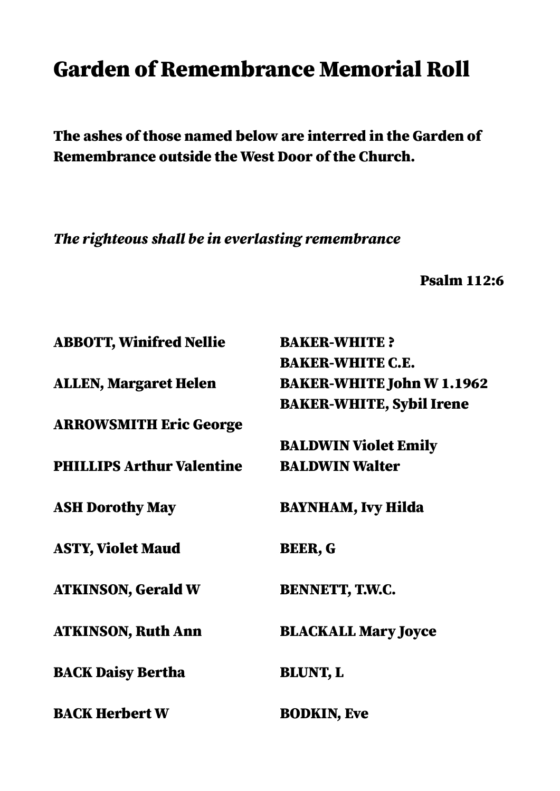## Garden of Remembrance Memorial Roll

The ashes of those named below are interred in the Garden of Remembrance outside the West Door of the Church.

The righteous shall be in everlasting remembrance

Psalm 112:6

| <b>ABBOTT, Winifred Nellie</b>   | <b>BAKER-WHITE?</b>              |
|----------------------------------|----------------------------------|
|                                  | <b>BAKER-WHITE C.E.</b>          |
| <b>ALLEN, Margaret Helen</b>     | <b>BAKER-WHITE John W 1.1962</b> |
|                                  | <b>BAKER-WHITE, Sybil Irene</b>  |
| <b>ARROWSMITH Eric George</b>    |                                  |
|                                  | <b>BALDWIN Violet Emily</b>      |
| <b>PHILLIPS Arthur Valentine</b> | <b>BALDWIN Walter</b>            |
| <b>ASH Dorothy May</b>           | <b>BAYNHAM, Ivy Hilda</b>        |
| <b>ASTY, Violet Maud</b>         | <b>BEER, G</b>                   |
| <b>ATKINSON, Gerald W</b>        | <b>BENNETT, T.W.C.</b>           |
| <b>ATKINSON, Ruth Ann</b>        | <b>BLACKALL Mary Joyce</b>       |
| <b>BACK Daisy Bertha</b>         | <b>BLUNT, L</b>                  |
| <b>BACK Herbert W</b>            | <b>BODKIN, Eve</b>               |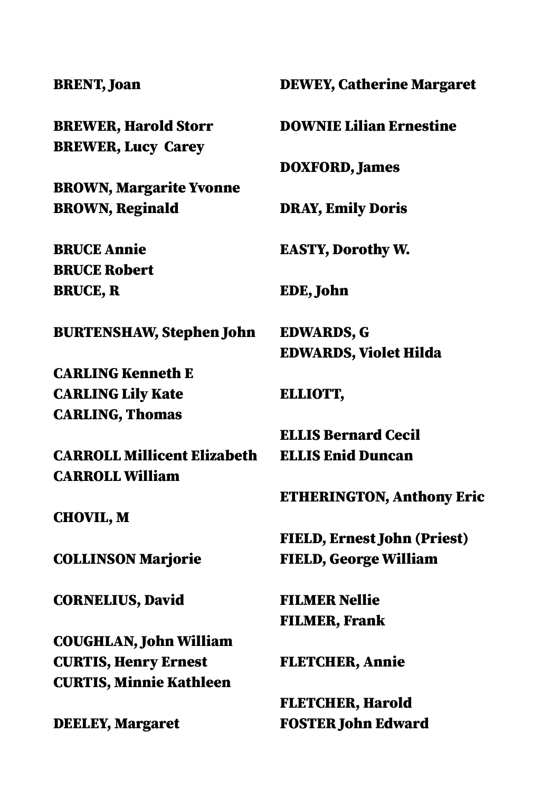## BRENT, Joan

BREWER, Harold Storr BREWER, Lucy Carey

BROWN, Margarite Yvonne BROWN, Reginald

BRUCE Annie BRUCE Robert BRUCE, R

BURTENSHAW, Stephen John

CARLING Kenneth E CARLING Lily Kate CARLING, Thomas

CARROLL Millicent Elizabeth CARROLL William

CHOVIL, M

COLLINSON Marjorie

CORNELIUS, David

COUGHLAN, John William CURTIS, Henry Ernest CURTIS, Minnie Kathleen

DEELEY, Margaret

## DEWEY, Catherine Margaret DOWNIE Lilian Ernestine DOXFORD, James DRAY, Emily Doris EASTY, Dorothy W. EDE, John EDWARDS, G EDWARDS, Violet Hilda ELLIOTT, ELLIS Bernard Cecil ELLIS Enid Duncan ETHERINGTON, Anthony Eric FIELD, Ernest John (Priest) FIELD, George William FILMER Nellie FILMER, Frank FLETCHER, Annie

FLETCHER, Harold FOSTER John Edward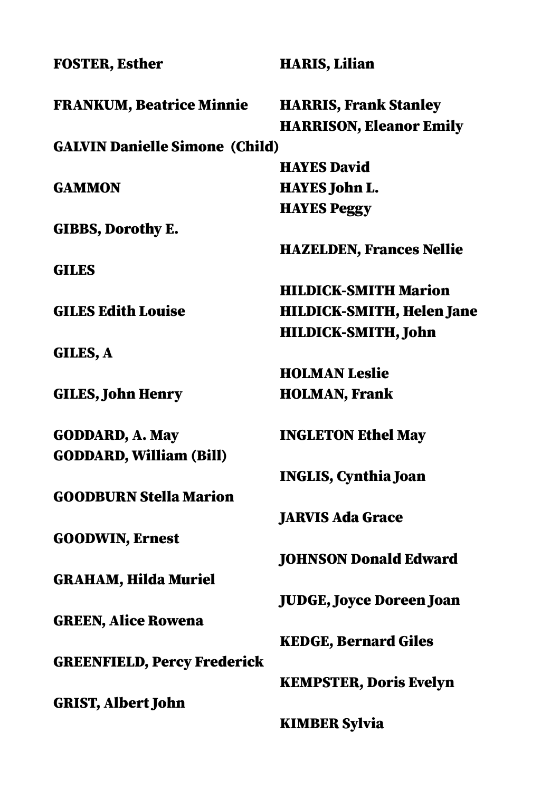| <b>FOSTER, Esther</b>                 | <b>HARIS, Lilian</b>             |
|---------------------------------------|----------------------------------|
| <b>FRANKUM, Beatrice Minnie</b>       | <b>HARRIS, Frank Stanley</b>     |
|                                       | <b>HARRISON, Eleanor Emily</b>   |
| <b>GALVIN Danielle Simone (Child)</b> |                                  |
|                                       | <b>HAYES David</b>               |
| <b>GAMMON</b>                         | <b>HAYES John L.</b>             |
|                                       | <b>HAYES Peggy</b>               |
| <b>GIBBS, Dorothy E.</b>              |                                  |
|                                       | <b>HAZELDEN, Frances Nellie</b>  |
| <b>GILES</b>                          |                                  |
|                                       | <b>HILDICK-SMITH Marion</b>      |
| <b>GILES Edith Louise</b>             | <b>HILDICK-SMITH, Helen Jane</b> |
|                                       | <b>HILDICK-SMITH, John</b>       |
| GILES, A                              |                                  |
|                                       | <b>HOLMAN Leslie</b>             |
| <b>GILES, John Henry</b>              | <b>HOLMAN, Frank</b>             |
| <b>GODDARD, A. May</b>                | <b>INGLETON Ethel May</b>        |
| <b>GODDARD, William (Bill)</b>        |                                  |
|                                       | <b>INGLIS, Cynthia Joan</b>      |
| <b>GOODBURN Stella Marion</b>         |                                  |
|                                       | <b>JARVIS Ada Grace</b>          |
| <b>GOODWIN, Ernest</b>                |                                  |
|                                       | <b>JOHNSON Donald Edward</b>     |
| <b>GRAHAM, Hilda Muriel</b>           |                                  |
|                                       | <b>JUDGE, Joyce Doreen Joan</b>  |
| <b>GREEN, Alice Rowena</b>            |                                  |
|                                       | <b>KEDGE, Bernard Giles</b>      |
| <b>GREENFIELD, Percy Frederick</b>    |                                  |
|                                       | <b>KEMPSTER, Doris Evelyn</b>    |
| <b>GRIST, Albert John</b>             |                                  |
|                                       | <b>KIMBER Sylvia</b>             |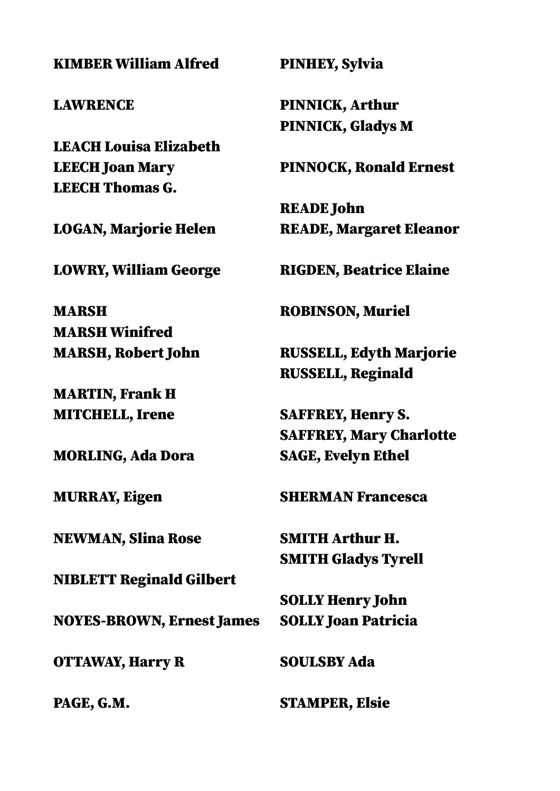KIMBER William Alfred

LAWRENCE

LEACH Louisa Elizabeth LEECH Joan Mary LEECH Thomas G.

LOGAN, Marjorie Helen

LOWRY, William George

MARSH MARSH Winifred MARSH, Robert John

MARTIN, Frank H MITCHELL, Irene

MORLING, Ada Dora

MURRAY, Eigen

NEWMAN, Slina Rose

NIBLETT Reginald Gilbert

NOYES-BROWN, Ernest James

OTTAWAY, Harry R

PAGE, G.M.

PINHEY, Sylvia

PINNICK, Arthur PINNICK, Gladys M

PINNOCK, Ronald Ernest

READE John READE, Margaret Eleanor

RIGDEN, Beatrice Elaine

ROBINSON, Muriel

RUSSELL, Edyth Marjorie RUSSELL, Reginald

SAFFREY, Henry S. SAFFREY, Mary Charlotte SAGE, Evelyn Ethel

SHERMAN Francesca

SMITH Arthur H. SMITH Gladys Tyrell

SOLLY Henry John SOLLY Joan Patricia

SOULSBY Ada

STAMPER, Elsie